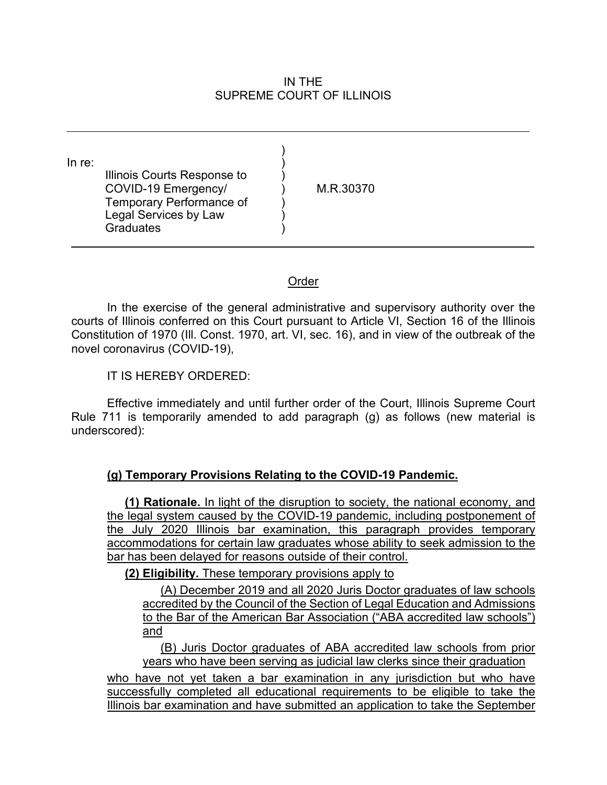#### IN THE SUPREME COURT OF ILLINOIS

) )

) ) )

In re: Illinois Courts Response to ) COVID-19 Emergency/ ) M.R.30370 Temporary Performance of Legal Services by Law **Graduates** 

#### Order

In the exercise of the general administrative and supervisory authority over the courts of Illinois conferred on this Court pursuant to Article VI, Section 16 of the Illinois Constitution of 1970 (Ill. Const. 1970, art. VI, sec. 16), and in view of the outbreak of the novel coronavirus (COVID-19),

IT IS HEREBY ORDERED:

Effective immediately and until further order of the Court, Illinois Supreme Court Rule 711 is temporarily amended to add paragraph (g) as follows (new material is underscored):

# **(g) Temporary Provisions Relating to the COVID-19 Pandemic.**

**(1) Rationale.** In light of the disruption to society, the national economy, and the legal system caused by the COVID-19 pandemic, including postponement of the July 2020 Illinois bar examination, this paragraph provides temporary accommodations for certain law graduates whose ability to seek admission to the bar has been delayed for reasons outside of their control.

**(2) Eligibility.** These temporary provisions apply to

(A) December 2019 and all 2020 Juris Doctor graduates of law schools accredited by the Council of the Section of Legal Education and Admissions to the Bar of the American Bar Association ("ABA accredited law schools") and

(B) Juris Doctor graduates of ABA accredited law schools from prior years who have been serving as judicial law clerks since their graduation

who have not yet taken a bar examination in any jurisdiction but who have successfully completed all educational requirements to be eligible to take the Illinois bar examination and have submitted an application to take the September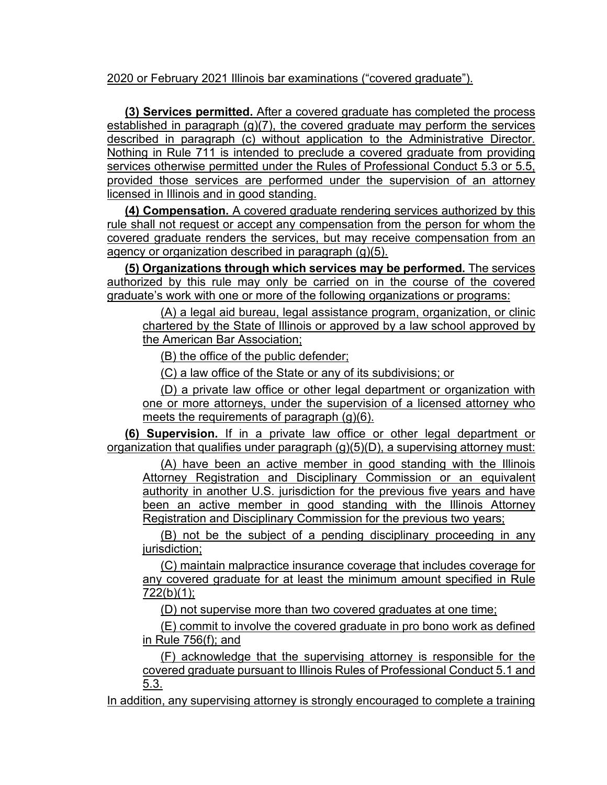2020 or February 2021 Illinois bar examinations ("covered graduate").

**(3) Services permitted.** After a covered graduate has completed the process established in paragraph (g)(7), the covered graduate may perform the services described in paragraph (c) without application to the Administrative Director. Nothing in Rule 711 is intended to preclude a covered graduate from providing services otherwise permitted under the Rules of Professional Conduct 5.3 or 5.5, provided those services are performed under the supervision of an attorney licensed in Illinois and in good standing.

**(4) Compensation.** A covered graduate rendering services authorized by this rule shall not request or accept any compensation from the person for whom the covered graduate renders the services, but may receive compensation from an agency or organization described in paragraph (g)(5).

**(5) Organizations through which services may be performed.** The services authorized by this rule may only be carried on in the course of the covered graduate's work with one or more of the following organizations or programs:

(A) a legal aid bureau, legal assistance program, organization, or clinic chartered by the State of Illinois or approved by a law school approved by the American Bar Association;

(B) the office of the public defender;

(C) a law office of the State or any of its subdivisions; or

(D) a private law office or other legal department or organization with one or more attorneys, under the supervision of a licensed attorney who meets the requirements of paragraph (g)(6).

**(6) Supervision.** If in a private law office or other legal department or organization that qualifies under paragraph (g)(5)(D), a supervising attorney must:

(A) have been an active member in good standing with the Illinois Attorney Registration and Disciplinary Commission or an equivalent authority in another U.S. jurisdiction for the previous five years and have been an active member in good standing with the Illinois Attorney Registration and Disciplinary Commission for the previous two years;

(B) not be the subject of a pending disciplinary proceeding in any jurisdiction;

(C) maintain malpractice insurance coverage that includes coverage for any covered graduate for at least the minimum amount specified in Rule 722(b)(1);

(D) not supervise more than two covered graduates at one time;

(E) commit to involve the covered graduate in pro bono work as defined in Rule 756(f); and

(F) acknowledge that the supervising attorney is responsible for the covered graduate pursuant to Illinois Rules of Professional Conduct 5.1 and 5.3.

In addition, any supervising attorney is strongly encouraged to complete a training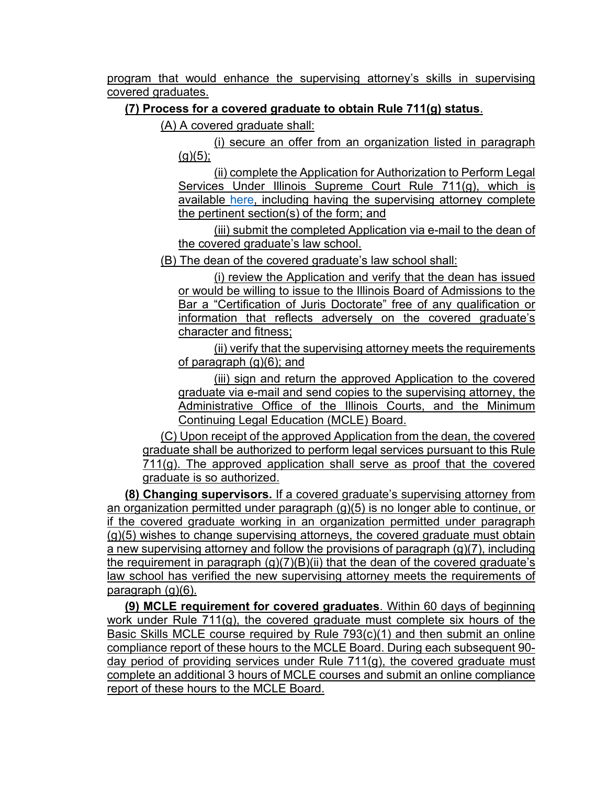program that would enhance the supervising attorney's skills in supervising covered graduates.

# **(7) Process for a covered graduate to obtain Rule 711(g) status**.

(A) A covered graduate shall:

(i) secure an offer from an organization listed in paragraph  $(g)(5)$ ;

(ii) complete the Application for Authorization to Perform Legal Services Under Illinois Supreme Court Rule 711(g), which is available [here,](http://www.illinoiscourts.gov/Administrative/forms/711/app_LegalServices_711g.pdf) including having the supervising attorney complete the pertinent section(s) of the form; and

(iii) submit the completed Application via e-mail to the dean of the covered graduate's law school.

(B) The dean of the covered graduate's law school shall:

(i) review the Application and verify that the dean has issued or would be willing to issue to the Illinois Board of Admissions to the Bar a "Certification of Juris Doctorate" free of any qualification or information that reflects adversely on the covered graduate's character and fitness;

(ii) verify that the supervising attorney meets the requirements of paragraph (g)(6); and

(iii) sign and return the approved Application to the covered graduate via e-mail and send copies to the supervising attorney, the Administrative Office of the Illinois Courts, and the Minimum Continuing Legal Education (MCLE) Board.

(C) Upon receipt of the approved Application from the dean, the covered graduate shall be authorized to perform legal services pursuant to this Rule  $711(q)$ . The approved application shall serve as proof that the covered graduate is so authorized.

**(8) Changing supervisors.** If a covered graduate's supervising attorney from an organization permitted under paragraph (g)(5) is no longer able to continue, or if the covered graduate working in an organization permitted under paragraph (g)(5) wishes to change supervising attorneys, the covered graduate must obtain a new supervising attorney and follow the provisions of paragraph (g)(7), including the requirement in paragraph  $(q)(7)(B)(ii)$  that the dean of the covered graduate's law school has verified the new supervising attorney meets the requirements of paragraph (g)(6).

**(9) MCLE requirement for covered graduates**. Within 60 days of beginning work under Rule 711(g), the covered graduate must complete six hours of the Basic Skills MCLE course required by Rule 793(c)(1) and then submit an online compliance report of these hours to the MCLE Board. During each subsequent 90 day period of providing services under Rule 711(g), the covered graduate must complete an additional 3 hours of MCLE courses and submit an online compliance report of these hours to the MCLE Board.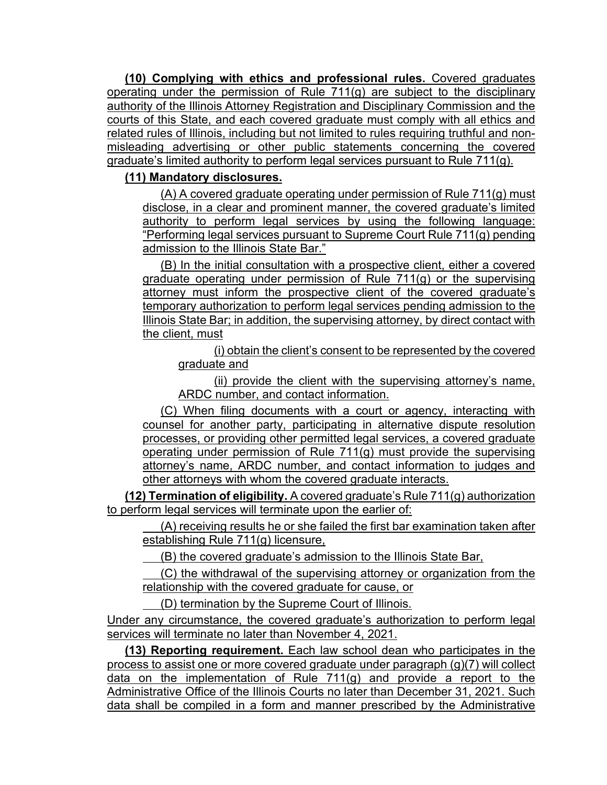**(10) Complying with ethics and professional rules.** Covered graduates operating under the permission of Rule 711(g) are subject to the disciplinary authority of the Illinois Attorney Registration and Disciplinary Commission and the courts of this State, and each covered graduate must comply with all ethics and related rules of Illinois, including but not limited to rules requiring truthful and nonmisleading advertising or other public statements concerning the covered graduate's limited authority to perform legal services pursuant to Rule 711(g).

### **(11) Mandatory disclosures.**

(A) A covered graduate operating under permission of Rule 711(g) must disclose, in a clear and prominent manner, the covered graduate's limited authority to perform legal services by using the following language: "Performing legal services pursuant to Supreme Court Rule 711(g) pending admission to the Illinois State Bar."

(B) In the initial consultation with a prospective client, either a covered graduate operating under permission of Rule 711(g) or the supervising attorney must inform the prospective client of the covered graduate's temporary authorization to perform legal services pending admission to the Illinois State Bar; in addition, the supervising attorney, by direct contact with the client, must

(i) obtain the client's consent to be represented by the covered graduate and

(ii) provide the client with the supervising attorney's name, ARDC number, and contact information.

(C) When filing documents with a court or agency, interacting with counsel for another party, participating in alternative dispute resolution processes, or providing other permitted legal services, a covered graduate operating under permission of Rule 711(g) must provide the supervising attorney's name, ARDC number, and contact information to judges and other attorneys with whom the covered graduate interacts.

**(12) Termination of eligibility.** A covered graduate's Rule 711(g) authorization to perform legal services will terminate upon the earlier of:

(A) receiving results he or she failed the first bar examination taken after establishing Rule 711(g) licensure,

(B) the covered graduate's admission to the Illinois State Bar,

(C) the withdrawal of the supervising attorney or organization from the relationship with the covered graduate for cause, or

(D) termination by the Supreme Court of Illinois.

Under any circumstance, the covered graduate's authorization to perform legal services will terminate no later than November 4, 2021.

**(13) Reporting requirement.** Each law school dean who participates in the process to assist one or more covered graduate under paragraph (g)(7) will collect data on the implementation of Rule 711(g) and provide a report to the Administrative Office of the Illinois Courts no later than December 31, 2021. Such data shall be compiled in a form and manner prescribed by the Administrative